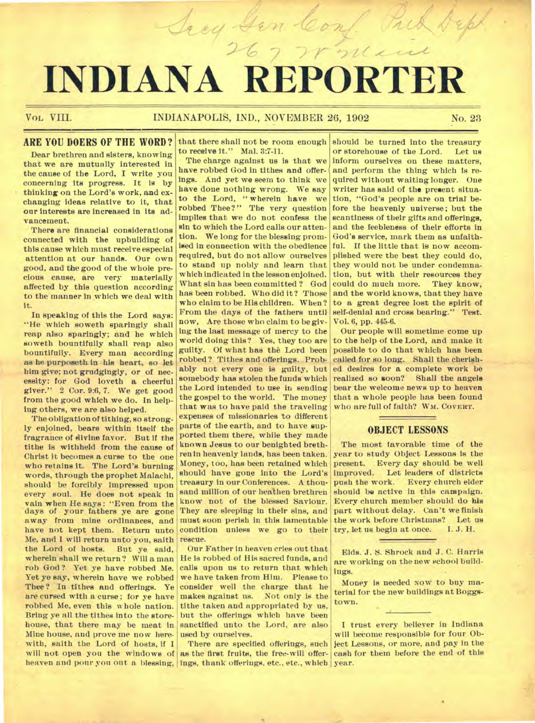# *And Steam Conf. Pub. Supplement*

# Vol, **VIII. INDIANAPOLIS, IND., NOVEMBER 26, 1902** No. **23**

# **ARE YOU DOERS OF THE WORD?**

**Dear brethren and sisters, knowing that we are mutually interested in the cause of the Lord, I write you concerning its progress. It is by thinking on the Lord's work, and exchanging ideas relative to it, that our interests are increased in its advancement.** 

**There are financial considerations connected with the upbuilding of this cause which must receive especial attention at our hands. Our own good, and the good of the whole precious cause, are very materially affected by this question according to the manner in which we deal with it.** 

**In speaking of this the Lord says: "He which soweth sparingly shall reap also sparingly; and he which soweth bountifully shall reap also bountifully. Every man according as he purposeth in his heart, so let him give; not grudgingly, or of necessity: for God loveth a cheerful giver." 2 Cor. 9:6, 7. We get good from the good which we do. In helping others, we are also helped.** 

**The obligation of tithing, so strongly enjoined, bears within itself the fragrance of divine favor. But if the tithe is withheld from the cause of Christ it becomes a curse to the one who retains it. The Lord's burning words, through the prophet Malachi, should be forcibly impressed upon every soul. He does not speak in vain when He says : "Even from the days of your fathers ye are gone away from mine ordinances, and have not kept them. Return unto Me, and 1 will return unto you, saith the Lord of hosts. But ye said, wherein shall we return? Will a man rob God ? Yet ye have robbed Me. Yet ye say, wherein have we robbed Thee? In tithes and offerings. Ye are cursed with a curse; for ye have robbed Me, even this whole nation. Bring ye all the tithes into the storehouse, that there may be meat in Mine house, and prove me now herewith, saith the Lord of hosts, if I will not open you the windows of heaven and pour you out a blessing, ings, thank offerings, etc., etc., which year.** 

**that there shall not be room enough to receive it." Mal. 3:7-11.** 

**The charge against us is that we have robbed God in tithes and offerings. And yet we seem to think we have done nothing wrong. We say to the Lord, " wherein have we robbed Thee?" The very question implies that we do not confess the sin to which the Lord calls our attention. We long for the blessing promised in connection with the obedience required, but do not allow ourselves to stand up nobly and learn that which indicated in the lesson enjoined. What sin has been committed ? God has been robbed. Who did it? Those who claim to be His children. When? From the days of the fathers until now, Are those who claim to be giving the last message of mercy to the world doing this? Yes, they too are guilty. Of what has the Lord been robbed? Tithes and offerings. Probably not every one is guilty, but somebody has stolen the funds which the Lord intended to use in sending the gospel to the world. The money that was to have paid the traveling expenses of missionaries to different parts of the earth, and to have supported them there, while they made known Jesus to our benighted brethren in heavenly lands, has been taken. Money, too, has been retained which should have gone into the Lord's treasury in our Conferences. A thousand million of our heathen brethren know not of the blessed Saviour. They are sleeping in their sins, and must soon perish in this lamentable condition unless we go to their rescue.** 

**Our Father in heaven cries out that He is robbed of His sacred funds, and calls upon us to return that which we have taken from Him. Please to consider well the charge that he makes against us. Not only is the tithe taken and appropriated by us, but the offerings which have been sanctified unto the Lord, are also used by ourselves.** 

**There are specified offerings, such as the first fruits, the free-will offer-**

**should be turned into the treasury**  or storehouse of the Lord. **inform ourselves on these matters,**  *and* **perform the thing which is required without waiting longer. One writer has said of the present situation, "God's people are on trial before the heavenly universe; but the scantiness of their gifts and offerings, and the feebleness of their efforts in God's service, mark them as unfaithful. If the little that is now accomplished were the best they could do, they would not be under condemnation, but with their resources they could do much more. They know, and the world knows, that they have to a great degree lost the spirit of self-denial and cross bearing." Test. Vol. 6, pp. 445-6.** 

**Our people will sometime come up to the help of the Lord, and make it possible to do that which has been called for so long. Shall the cherished desires for a complete work be realized so soon? Shall the angels bear the welcome news up to heaven that a whole people has been found who are full of faith? WM. COVERT.** 

# **OBJECT LESSONS**

**The most favorable time of the year to study Object Lessons is the present. Every day should be well improved. Let leaders of districts push the work. Every church elder should be active in this campaign. Every church member should do his part without delay. Can't we finish the work before Christmas?** Let us <br>try, let us begin at once. I.J. H. try, let us begin at once.

**Elds. J. S. Shrock and J. C. Harris are working on the new school buildings.** 

**Money is needed Now to buy material for the new buildings at Boggstown.** 

**I trust every believer in Indiana will become responsible for four Object Lessons, or more, and pay in the cash for them before the end of this**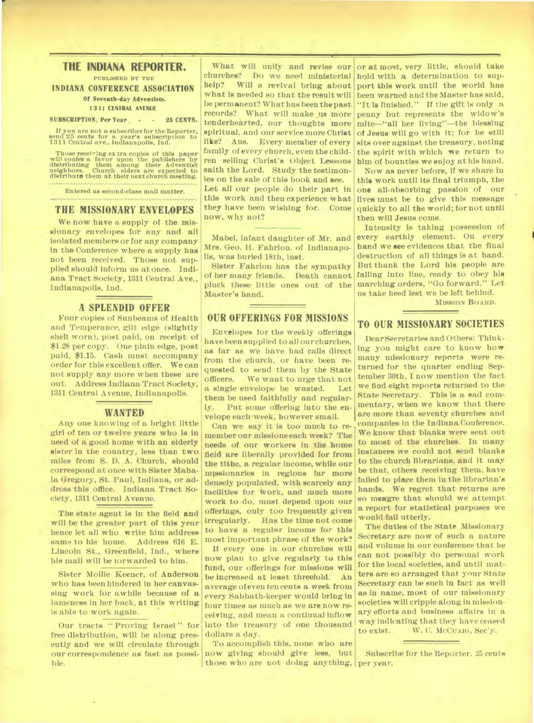# **THE INDIANA REPORTER.**

**PUBLISHED BY THE** 

**INDIANA CONFERENCE ASSOCIATION Of Seventh-day Adventists.** 

#### **13 11 CENTRAL AVENUE**

#### **SUBSCRIPTION. Per Year - - 25 CENTS.**

**If you are not a subscriber for the Reporter,**  send 25 cents for a year's subscription to 1311 Central ave., Indianapolis, Ind.

**Those receiving extra copies of this paper will confer a favor upon the publishers by distributing them among their Adventist neighbors. Church elders are expected to distribute them at their next church meeting.** 

**Entered as second-class mail matter.** 

#### **THE MISSIONARY ENVELOPES**

We now have a supply of the missionary envelopes for any and all isolated members or for any company in the Conference where a supply has not been received. Those not supplied should inform us at once. Indiana Tract Society, 1311 Central Ave., Indianapolis, Ind.

#### **A SPLENDID OFFER**

Four copies of Sunbeams of Health and Temperance, gilt edge (slightly shell worn), post paid, on receipt of \$1.28 per copy. One plain edge, post paid, \$1.15. Cash must accompany order for this excellent offer. We can not supply any more when these are out. Address Indiana Tract Society, 1311 Central Avenue, Indianapolis.

#### **WANTED**

Any one knowing of a bright little girl of ten or twelve years who is in need of a good home with an elderly sister in the country, less than two miles from S. D. A. Church, should correspond at once with Sister Mahala Gregory, St. Paul, Indiana, or address this office. Indiana Tract Society, 1311 Central Avenue.

The state agent is in the field and will be the greater part of this year hence let all who write him address same to his home. Address 616 E. Lincoln St., Greenfield, Ind., where his mail will be forwarded to him.

Sister Mollie Keener, of Anderson who has been hindered in her canvassing work for awhile because of a lameness in her back, at this writing is able to work again.

Our tracts " Proving Israel " for free distribution, will be along presently and we will circulate through our correspondence as fast as possible.

What will unify and revise our churches? Do we need ministerial help? Will a revival bring about what is needed so that the result will be permanent? What has been the past records? What will make us more tenderhearted, our thoughts more spiritual, and our service more Christ<br>like? Ans. Every member of every Every member of every family of every church, even the children selling Christ's Object Lessons saith the Lord. Study the testimonies on the sale of this book and see. Let all our people do their part in this work and then experience what they have been wishing for. Come now, why not?

Mabel, infant daughter of Mr. and Mrs. Geo. H. Fahrion. of Indianapolis, was buried 18th, inst.

Sister Fahrion has the sympathy of her many friends. Death cannot pluck these little ones out of the Master's hand.

# **OUR OFFERINGS FOR MISSIONS**

Envelopes for the weekly offerings have been supplied to all our churches, as far as we have had calls direct from the church, or have been requested to send them by the State<br>officers. We want to urge that not We want to urge that not a single envelope be wasted. Let them be used faithfully and regularly. Put some offering into the envelope each week, however small.

Can we say it is too much to remember our missions each week? The needs of our workers in the home field are liberally provided for from the tithe, a regular income, while our missionaries in regions far more densely populated, with scarcely any facilities for Work, and much more work to do, must depend upon our offerings, only too frequently given irregularly. Has the time not come to have a regular income for this most important phrase of the work?

If every one in our churches will now plan to give regularly to this fund, our offerings for missions will<br>be increased at least threefold. An be increased at least threefold. average of even ten cents a week from every Sabbath-keeper would bring in four times as much as we are now receiving, and mean a continual inflow into the treasury of one thousand dollars a day.

To accomplish this, none who are now giving should give less, but those who are not doing anything, per year,

or at most, very little, should take hold with a determination to support this work until the world has been warned and the Master has said, "It is finished." If the gift is only a penny but represents the widow's mite—"all her living"—the blessing of Jesus will go with it; for he still sits over against the treasury, noting the spirit with which we return to him of bounties we enjoy at his hand.

Now as never before, if we share in this work until its final triumph, the one all-absorbing passion of our lives must be to give this message quickly to all the world; for not until then will Jesus come.

Intensity is taking possession of every earthly element. On every hand we see evidences that the final destruction of all things is at hand. But thank the Lord his people are falling into line, ready to obey his marching orders, "Go forward." Let us take heed lest we be left behind.

**MISSION** BOARD.

# **TO OUR MISSIONARY SOCIETIES**

Dear Secretaries and Others: Thinking you might care to know how many missionary reports were returned for the quarter ending September 30th. I now mention the fact we find eight reports returned to the State Secretary. This is a sad commentary, when we know that there are more than seventy churches and companies in the Indiana Conference. We know that blanks were sent out to most of, the churches. In many instances we could not send blanks to the church librarians, and it may be that, others receiving them, have failed to place them in the librarian's hands. We regret that returns are so meagre that should we attempt a report for statistical purposes we would fail utterly.

The duties of the State Missionary Secretary are now of such a nature and volume in our conference that he can not possibly do personal work for the local societies, and until matters are so arranged that your State Secretary can be such in fact as well as in name, most of our missionary societies will cripple along in missionary efforts and business affairs in a way indicating that they have ceased to exist. W. C. McCuA1G, Sec'y.

Subscribe for the Reporter. 25 cents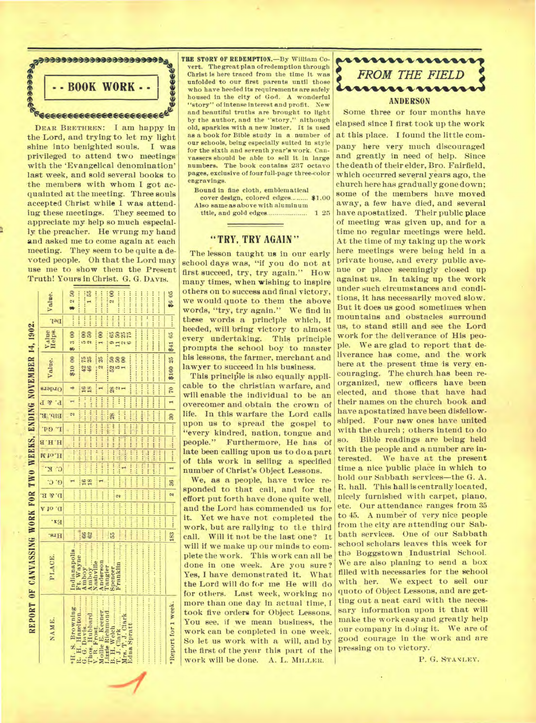

DEAR BRETHREN: I am happy in the Lord, and trying to let my light shine into benighted souls. I was privileged to attend two meetings with the 'Evangelical denomination' last week, and sold several books to the members with whom I got acquainted at the meeting. Three souls accepted Christ while I was attending these meetings. They seemed to appreciate my help so much especially the preacher. He wrung my hand and asked me to come again at each meeting. They seem to be quite **a** devoted people. Oh that the Lord may use me to show them the Present Truth! Yours in Christ. G. G. DAVIS.<br>  $\begin{array}{c} \begin{array}{c} \Xi \end{array} \end{array}$  $\begin{array}{c|c}\n & \text{at} \\
 & \text{in} \\
 & \text{in} \\
 & \text{in} \\
 & \text{in} \\
 & \text{in} \\
 & \text{in} \\
 & \text{in} \\
 & \text{in} \\
 & \text{in} \\
 & \text{in} \\
 & \text{in} \\
 & \text{in} \\
 & \text{in} \\
 & \text{in} \\
 & \text{in} \\
 & \text{in} \\
 & \text{in} \\
 & \text{in} \\
 & \text{in} \\
 & \text{in} \\
 & \text{in} \\
 & \text{in} \\
 & \text{in} \\
 & \text{in} \\
 & \text{in} \\
 & \text{in} \\
 & \text{in} \\
 & \text{in} \\
 & \text{in} \\$ 

 $\frac{1}{2}$ 

8 12886 0100

 $n \frac{1888}{2401}$  $\frac{1}{2}$ et 10 <del>.</del>

.....

**,.** 

**.** 

**ne&s.** 

" **<sup>04</sup>**

**In ea** 

**.** 

**83** 

**\*Report for1week.** 

Report

week.  $10r1$ 

8 **WO**   $\sim$ 88 .ON

8 0 **4.4**  ..

.41, a*A* **<sup>4</sup>***<sup>n</sup>***' ., O.i....** 

te li

**PH**<br> **B**<br> **Alia** 

1000444A

T.

0 N-s+:4WA.wcprt **....et..me ...WE.: H**, **8**, **H**, **6**, **I**, **6**, **I**, **7**<br>*A Dige*<br>*A Dige*<br>*I***,** *J***,** *C***<sub></sub>** *D***<sub></sub><br><b>***I***,** *I***,** *C***<sub></sub>** *D***<sub>1</sub>,** *C***<sub></sub><br><b>***A D*<sub>1</sub>, *C*<sub></sub> *D*<sub>1</sub>, *C*<sub>0</sub> **<sup>I</sup>V:d6g.% ...UEi:71** 

 $x_4 = 2.5$ 

 $\ddot{r}$ **•;..**  a

e<br>a

 $\frac{3}{2}$  **1.2**<br>**1.**<br>**1.1114 1.1114 141445**<br> **Way**<br> **.440** *Noy***<br>
<b>...**<br> **.440** *Bi* **c. ...**<br> **.442** *Bi* **c. ...**<br> **.442** *Bi* **c. ...**<br> **.442** *Bi* **c. ...**<br> **.442** *Bi* **c. ...** 

**Rasis <sup>01</sup>**,F4

.,

**86** 

= **ri ,/, N.** 

25 \$160 **THE STORY OF REDEMPTION.—By** William Covert. The great plan of redemption through Christ is here traced from the time it was unfolded to our first parents until those who have heeded its requirements are safely housed in the city of God. A wonderful "story" of intense interest and profit. New and beautiful truths are brought to light by the author, and the "story." although old, sparkles with a new luster. It is used as a book for Bible study in a. number of our schools, being especially suited in style for the sixth and seventh year's work. Canvassers should be able to sell it in large numbers, The book contains 237 octavo pages, exclusive of four full-page three-color engravings.

Bound in fine cloth, emblematical cover design, colored edges ........ \$1.00

Also same as above with aluminum title, and gold edges 1 25

### **"TRY, TRY AGAIN"**

The lesson taught **us** in our early school days was, "if you do not at first succeed, try, try again." How many times, when wishing to inspire others on to success and final victory, we would quote to them the above words, "try, try again." We find in these words a principle which, if heeded, will bring victory to almost every undertaking. This principle prompts the school boy to master his lessons, the farmer, merchant and lawyer to succeed in his business.  $\begin{array}{c|c}\n\cdot & \cdot \\
\hline\n\vdots & \hline\n\end{array}$ 

This principle is also equally applicable to the christian warfare, and will enable the individual to be an overcomer and obtain the crown of life. In this warfare the Lord calls upon us to spread the gospel to "every kindred, nation, tongue and people." Furthermore, He has of late been calling upon us to do a part of this work in selling a specified number of Christ's Object Lessons.

We, as a people, have twice responded to that call, and for the effort put forth have done quite well, and the Lord has commended us for it. Yet we have not completed the work, but are rallying to tl.e third call. Will it not be the last one? It will if we make up our minds to complete the work. This work can all be. done in one week. Are you sure? Yes, I have demonstrated it. What the Lord will do for me He will do for others. Last week, working no more than one day in actual time, I took five orders for Object Lessons. You see, if we mean business, the work can be conpleted in one week. So let us work with a will, and by the first of the year this part of the work will be done. A. L. **MILLER.** 



Some three or four months have elapsed since I first took up the work at this place. I found the little company here very much discouraged and greatly in need of help. Since the death of their elder, Bro. Fairfield, which occurred several years ago, the church here has gradually gone down; some of the members have moved away, a few have died, and several have apostatized. Their public place of meeting was given up, and for a time no regular meetings were held. At the time of my taking up the work here meetings were being held in a private house, and every public avenue or place seemingly closed up against us. In taking up the work under such circumstances and conditions, it has necessarily moved slow. But it does us good sometimes when mountains and obstacles surround us, to stand still and see the Lord work for the deliverance of His people. We are glad to report that deliverance has come, and the work here at the present time is very encouraging. The church has been reorganized, new officers have been elected, and those that have had their names on the church book and have apostatized have been disfellowshiped. Four **new ones have united with the church ; others Intend to do so. Bible readings are being held with the people and a number are interested. We have at the present time a nice** public place in which to hold our Sabbath services—the G. A. R. hall. This hall is centrally located, nicely furnished with carpet, piano, etc. Our attendance ranges from 35 to 45. A number of very nice people from the city are attending our Sabbath services. One of our Sabbath school scholars leaves this week for tha Boggstown Industrial School. We are also planing to send a box filled with necessaries for the school with her. We expect to sell our quoto of Object Lessons, and are getting out a neat card with the necessary information upon it that will make the work *easy* and greatly help our company in doing it. We are of good courage in the work and are pressing on to victory.

P. G. STANLEY.